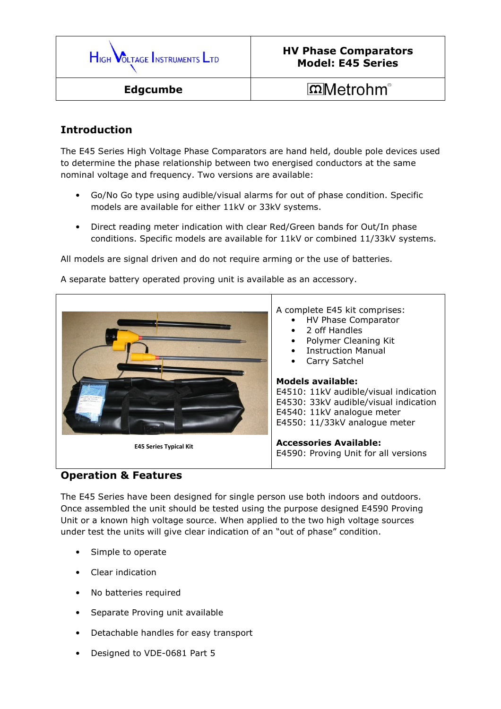

## Introduction

The E45 Series High Voltage Phase Comparators are hand held, double pole devices used to determine the phase relationship between two energised conductors at the same nominal voltage and frequency. Two versions are available:

- Go/No Go type using audible/visual alarms for out of phase condition. Specific models are available for either 11kV or 33kV systems.
- Direct reading meter indication with clear Red/Green bands for Out/In phase conditions. Specific models are available for 11kV or combined 11/33kV systems.

All models are signal driven and do not require arming or the use of batteries.

A separate battery operated proving unit is available as an accessory.



## Operation & Features

The E45 Series have been designed for single person use both indoors and outdoors. Once assembled the unit should be tested using the purpose designed E4590 Proving Unit or a known high voltage source. When applied to the two high voltage sources under test the units will give clear indication of an "out of phase" condition.

- Simple to operate
- Clear indication
- No batteries required
- Separate Proving unit available
- Detachable handles for easy transport
- Designed to VDE-0681 Part 5